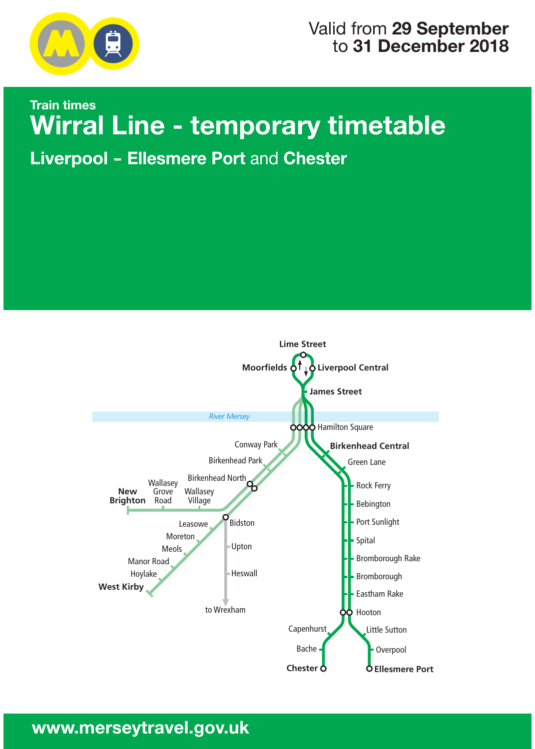

# Valid from **29 September** to **31 December 2018**

# **Train times Wirral Line - temporary timetable** wirral Line - temporary times and the second times of the second times and the second times are times and the s<br>International Line - temporary times and the second times are the second to the second times and the second ti

**Liverpool - Ellesmere Port** and **Chester**

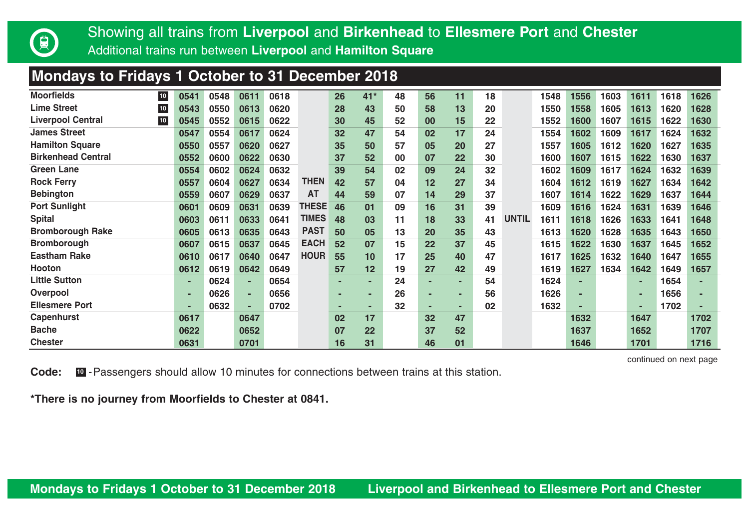

## **Mondays to Fridays 1 October to 31 December 2018**

| <b>Moorfields</b><br>10 <sub>1</sub>  | 0541 | 0548 | 0611 | 0618 |              | 26 | $41*$ | 48 | 56 | 11 | 18 |              | 1548 | 1556 | 1603 | 1611 | 1618 | 1626 |
|---------------------------------------|------|------|------|------|--------------|----|-------|----|----|----|----|--------------|------|------|------|------|------|------|
| <b>Lime Street</b><br>10 <sub>1</sub> | 0543 | 0550 | 0613 | 0620 |              | 28 | 43    | 50 | 58 | 13 | 20 |              | 1550 | 1558 | 1605 | 1613 | 1620 | 1628 |
| <b>Liverpool Central</b><br>$10\,$    | 0545 | 0552 | 0615 | 0622 |              | 30 | 45    | 52 | 00 | 15 | 22 |              | 1552 | 1600 | 1607 | 1615 | 1622 | 1630 |
| <b>James Street</b>                   | 0547 | 0554 | 0617 | 0624 |              | 32 | 47    | 54 | 02 | 17 | 24 |              | 1554 | 1602 | 1609 | 1617 | 1624 | 1632 |
| <b>Hamilton Square</b>                | 0550 | 0557 | 0620 | 0627 |              | 35 | 50    | 57 | 05 | 20 | 27 |              | 1557 | 1605 | 1612 | 1620 | 1627 | 1635 |
| <b>Birkenhead Central</b>             | 0552 | 0600 | 0622 | 0630 |              | 37 | 52    | 00 | 07 | 22 | 30 |              | 1600 | 1607 | 1615 | 1622 | 1630 | 1637 |
| Green Lane                            | 0554 | 0602 | 0624 | 0632 |              | 39 | 54    | 02 | 09 | 24 | 32 |              | 1602 | 1609 | 1617 | 1624 | 1632 | 1639 |
| <b>Rock Ferry</b>                     | 0557 | 0604 | 0627 | 0634 | <b>THEN</b>  | 42 | 57    | 04 | 12 | 27 | 34 |              | 1604 | 1612 | 1619 | 1627 | 1634 | 1642 |
| <b>Bebington</b>                      | 0559 | 0607 | 0629 | 0637 | AT           | 44 | 59    | 07 | 14 | 29 | 37 |              | 1607 | 1614 | 1622 | 1629 | 1637 | 1644 |
| <b>Port Sunlight</b>                  | 0601 | 0609 | 0631 | 0639 | THESE        | 46 | 01    | 09 | 16 | 31 | 39 |              | 1609 | 1616 | 1624 | 1631 | 1639 | 1646 |
| <b>Spital</b>                         | 0603 | 0611 | 0633 | 0641 | <b>TIMES</b> | 48 | 03    | 11 | 18 | 33 | 41 | <b>UNTIL</b> | 1611 | 1618 | 1626 | 1633 | 1641 | 1648 |
| <b>Bromborough Rake</b>               | 0605 | 0613 | 0635 | 0643 | <b>PAST</b>  | 50 | 05    | 13 | 20 | 35 | 43 |              | 1613 | 1620 | 1628 | 1635 | 1643 | 1650 |
| <b>Bromborough</b>                    | 0607 | 0615 | 0637 | 0645 | <b>EACH</b>  | 52 | 07    | 15 | 22 | 37 | 45 |              | 1615 | 1622 | 1630 | 1637 | 1645 | 1652 |
| <b>Eastham Rake</b>                   | 0610 | 0617 | 0640 | 0647 | <b>HOUR</b>  | 55 | 10    | 17 | 25 | 40 | 47 |              | 1617 | 1625 | 1632 | 1640 | 1647 | 1655 |
| Hooton                                | 0612 | 0619 | 0642 | 0649 |              | 57 | 12    | 19 | 27 | 42 | 49 |              | 1619 | 1627 | 1634 | 1642 | 1649 | 1657 |
| <b>Little Sutton</b>                  | ۰    | 0624 | ۰.   | 0654 |              | ۰  |       | 24 | ٠  | ٠  | 54 |              | 1624 |      |      | ٠    | 1654 |      |
| Overpool                              | ۰    | 0626 |      | 0656 |              |    | -     | 26 | -  | ۰  | 56 |              | 1626 |      |      | ٠    | 1656 |      |
| <b>Ellesmere Port</b>                 | ۰    | 0632 | ۰    | 0702 |              | -  |       | 32 | ۰  | ٠  | 02 |              | 1632 |      |      | ٠    | 1702 |      |
| Capenhurst                            | 0617 |      | 0647 |      |              | 02 | 17    |    | 32 | 47 |    |              |      | 1632 |      | 1647 |      | 1702 |
| <b>Bache</b>                          | 0622 |      | 0652 |      |              | 07 | 22    |    | 37 | 52 |    |              |      | 1637 |      | 1652 |      | 1707 |
| <b>Chester</b>                        | 0631 |      | 0701 |      |              | 16 | 31    |    | 46 | 01 |    |              |      | 1646 |      | 1701 |      | 1716 |

continued on next page

**Code: ID** - Passengers should allow 10 minutes for connections between trains at this station.

**\*There is no journey from Moorfields to Chester at 0841.**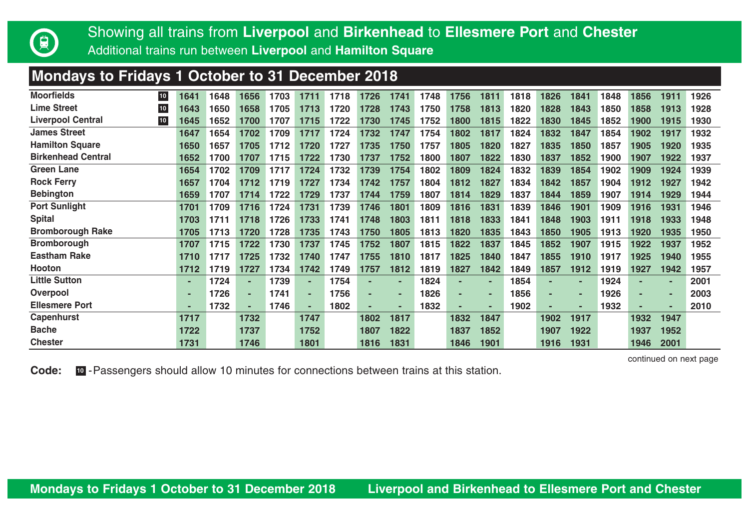

## **Mondays to Fridays 1 October to 31 December 2018**

| <b>Moorfields</b><br>$10$          | 1641 | 1648 | 1656 | 1703 | 1711 | 1718 | 1726 | 1741 | 1748 | 1756 | 1811 | 1818 | 1826 | 1841 | 1848 | 1856 | 1911 | 1926 |
|------------------------------------|------|------|------|------|------|------|------|------|------|------|------|------|------|------|------|------|------|------|
| <b>Lime Street</b><br>${\bf 10}$   | 1643 | 1650 | 1658 | 1705 | 1713 | 1720 | 1728 | 1743 | 1750 | 1758 | 1813 | 1820 | 1828 | 1843 | 1850 | 1858 | 1913 | 1928 |
| <b>Liverpool Central</b><br>$10\,$ | 1645 | 1652 | 1700 | 1707 | 1715 | 1722 | 1730 | 1745 | 1752 | 1800 | 1815 | 1822 | 1830 | 1845 | 1852 | 1900 | 1915 | 1930 |
| <b>James Street</b>                | 1647 | 1654 | 1702 | 1709 | 1717 | 1724 | 1732 | 1747 | 1754 | 1802 | 1817 | 1824 | 1832 | 1847 | 1854 | 1902 | 1917 | 1932 |
| <b>Hamilton Square</b>             | 1650 | 1657 | 1705 | 1712 | 1720 | 1727 | 1735 | 1750 | 1757 | 1805 | 1820 | 1827 | 1835 | 1850 | 1857 | 1905 | 1920 | 1935 |
| <b>Birkenhead Central</b>          | 1652 | 1700 | 1707 | 1715 | 1722 | 1730 | 1737 | 1752 | 1800 | 1807 | 1822 | 1830 | 1837 | 1852 | 1900 | 1907 | 1922 | 1937 |
| <b>Green Lane</b>                  | 1654 | 1702 | 1709 | 1717 | 1724 | 1732 | 1739 | 1754 | 1802 | 1809 | 1824 | 1832 | 1839 | 1854 | 1902 | 1909 | 1924 | 1939 |
| <b>Rock Ferry</b>                  | 1657 | 1704 | 1712 | 1719 | 1727 | 1734 | 1742 | 1757 | 1804 | 1812 | 1827 | 1834 | 1842 | 1857 | 1904 | 1912 | 1927 | 1942 |
| <b>Bebington</b>                   | 1659 | 1707 | 1714 | 1722 | 1729 | 1737 | 1744 | 1759 | 1807 | 1814 | 1829 | 1837 | 1844 | 1859 | 1907 | 1914 | 1929 | 1944 |
| <b>Port Sunlight</b>               | 1701 | 1709 | 1716 | 1724 | 1731 | 1739 | 1746 | 1801 | 1809 | 1816 | 1831 | 1839 | 1846 | 1901 | 1909 | 1916 | 1931 | 1946 |
| <b>Spital</b>                      | 1703 | 1711 | 1718 | 1726 | 1733 | 1741 | 1748 | 1803 | 1811 | 1818 | 1833 | 1841 | 1848 | 1903 | 1911 | 1918 | 1933 | 1948 |
| <b>Bromborough Rake</b>            | 1705 | 1713 | 1720 | 1728 | 1735 | 1743 | 1750 | 1805 | 1813 | 1820 | 1835 | 1843 | 1850 | 1905 | 1913 | 1920 | 1935 | 1950 |
| <b>Bromborough</b>                 | 1707 | 1715 | 1722 | 1730 | 1737 | 1745 | 1752 | 1807 | 1815 | 1822 | 1837 | 1845 | 1852 | 1907 | 1915 | 1922 | 1937 | 1952 |
| <b>Eastham Rake</b>                | 1710 | 1717 | 1725 | 1732 | 1740 | 1747 | 1755 | 1810 | 1817 | 1825 | 1840 | 1847 | 1855 | 1910 | 1917 | 1925 | 1940 | 1955 |
| Hooton                             | 1712 | 1719 | 1727 | 1734 | 1742 | 1749 | 1757 | 1812 | 1819 | 1827 | 1842 | 1849 | 1857 | 1912 | 1919 | 1927 | 1942 | 1957 |
| <b>Little Sutton</b>               | ٠    | 1724 | ۰.   | 1739 |      | 1754 |      | ٠    | 1824 |      |      | 1854 | ٠    |      | 1924 |      | ۰    | 2001 |
| Overpool                           |      | 1726 |      | 1741 |      | 1756 |      | ٠    | 1826 |      |      | 1856 | ٠    |      | 1926 |      |      | 2003 |
| <b>Ellesmere Port</b>              | ۰    | 1732 |      | 1746 | ٠    | 1802 |      | ٠    | 1832 | ۰    |      | 1902 | ٠    |      | 1932 |      |      | 2010 |
| Capenhurst                         | 1717 |      | 1732 |      | 1747 |      | 1802 | 1817 |      | 1832 | 1847 |      | 1902 | 1917 |      | 1932 | 1947 |      |
| <b>Bache</b>                       | 1722 |      | 1737 |      | 1752 |      | 1807 | 1822 |      | 1837 | 1852 |      | 1907 | 1922 |      | 1937 | 1952 |      |
| <b>Chester</b>                     | 1731 |      | 1746 |      | 1801 |      | 1816 | 1831 |      | 1846 | 1901 |      | 1916 | 1931 |      | 1946 | 2001 |      |

continued on next page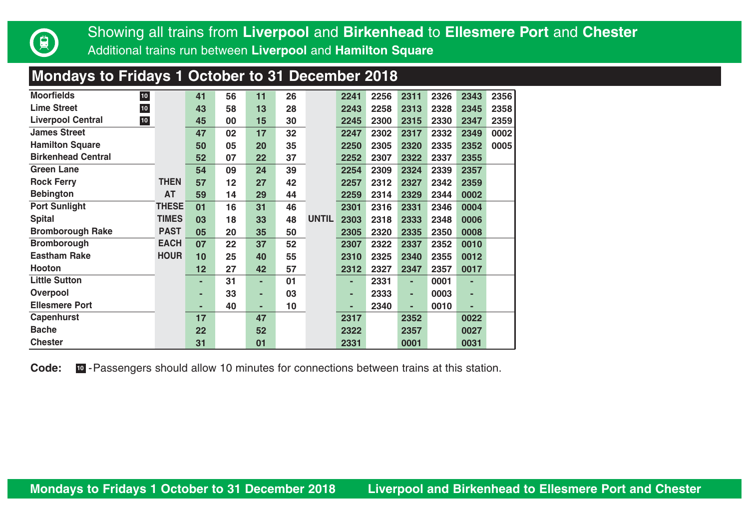

## **Mondays to Fridays 1 October to 31 December 2018**

| <b>Moorfields</b><br>$10\,$                 |              | 41 | 56 | 11 | 26 |              | 2241 | 2256 | 2311 | 2326 | 2343 | 2356 |
|---------------------------------------------|--------------|----|----|----|----|--------------|------|------|------|------|------|------|
| <b>Lime Street</b><br>${\bf 10}$            |              | 43 | 58 | 13 | 28 |              | 2243 | 2258 | 2313 | 2328 | 2345 | 2358 |
| <b>Liverpool Central</b><br>10 <sub>1</sub> |              | 45 | 00 | 15 | 30 |              | 2245 | 2300 | 2315 | 2330 | 2347 | 2359 |
| <b>James Street</b>                         |              | 47 | 02 | 17 | 32 |              | 2247 | 2302 | 2317 | 2332 | 2349 | 0002 |
| <b>Hamilton Square</b>                      |              | 50 | 05 | 20 | 35 |              | 2250 | 2305 | 2320 | 2335 | 2352 | 0005 |
| <b>Birkenhead Central</b>                   |              | 52 | 07 | 22 | 37 |              | 2252 | 2307 | 2322 | 2337 | 2355 |      |
| Green Lane                                  |              | 54 | 09 | 24 | 39 |              | 2254 | 2309 | 2324 | 2339 | 2357 |      |
| <b>Rock Ferry</b>                           | <b>THEN</b>  | 57 | 12 | 27 | 42 |              | 2257 | 2312 | 2327 | 2342 | 2359 |      |
| <b>Bebington</b>                            | AT           | 59 | 14 | 29 | 44 |              | 2259 | 2314 | 2329 | 2344 | 0002 |      |
| <b>Port Sunlight</b>                        | <b>THESE</b> | 01 | 16 | 31 | 46 |              | 2301 | 2316 | 2331 | 2346 | 0004 |      |
| <b>Spital</b>                               | <b>TIMES</b> | 03 | 18 | 33 | 48 | <b>UNTIL</b> | 2303 | 2318 | 2333 | 2348 | 0006 |      |
| <b>Bromborough Rake</b>                     | <b>PAST</b>  | 05 | 20 | 35 | 50 |              | 2305 | 2320 | 2335 | 2350 | 0008 |      |
| <b>Bromborough</b>                          | <b>EACH</b>  | 07 | 22 | 37 | 52 |              | 2307 | 2322 | 2337 | 2352 | 0010 |      |
| <b>Eastham Rake</b>                         | <b>HOUR</b>  | 10 | 25 | 40 | 55 |              | 2310 | 2325 | 2340 | 2355 | 0012 |      |
| Hooton                                      |              | 12 | 27 | 42 | 57 |              | 2312 | 2327 | 2347 | 2357 | 0017 |      |
| <b>Little Sutton</b>                        |              | ۰  | 31 | ۰  | 01 |              | ٠    | 2331 | ٠    | 0001 | ۰    |      |
| Overpool                                    |              | ۰  | 33 | ٠  | 03 |              | ٠    | 2333 | ٠    | 0003 | ۰    |      |
| <b>Ellesmere Port</b>                       |              | ۰  | 40 | ٠  | 10 |              | ۰    | 2340 | ٠    | 0010 | ۰    |      |
| Capenhurst                                  |              | 17 |    | 47 |    |              | 2317 |      | 2352 |      | 0022 |      |
| <b>Bache</b>                                |              | 22 |    | 52 |    |              | 2322 |      | 2357 |      | 0027 |      |
| <b>Chester</b>                              |              | 31 |    | 01 |    |              | 2331 |      | 0001 |      | 0031 |      |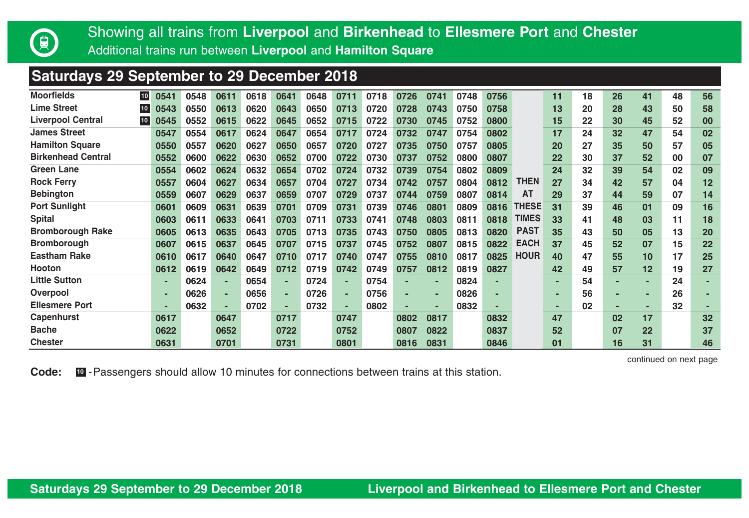

**Saturdays 29 September to 29 December 2018**

| <b>Saturdays 23 September to 23 December 2010</b> |      |      |      |      |      |      |      |      |      |      |      |      |              |    |    |    |    |    |    |
|---------------------------------------------------|------|------|------|------|------|------|------|------|------|------|------|------|--------------|----|----|----|----|----|----|
| <b>Moorfields</b><br>10                           | 0541 | 0548 | 0611 | 0618 | 0641 | 0648 | 0711 | 0718 | 0726 | 0741 | 0748 | 0756 |              | 11 | 18 | 26 | 41 | 48 | 56 |
| <b>Lime Street</b><br>10 <sub>1</sub>             | 0543 | 0550 | 0613 | 0620 | 0643 | 0650 | 0713 | 0720 | 0728 | 0743 | 0750 | 0758 |              | 13 | 20 | 28 | 43 | 50 | 58 |
| <b>Liverpool Central</b><br>10                    | 0545 | 0552 | 0615 | 0622 | 0645 | 0652 | 0715 | 0722 | 0730 | 0745 | 0752 | 0800 |              | 15 | 22 | 30 | 45 | 52 | 00 |
| <b>James Street</b>                               | 0547 | 0554 | 0617 | 0624 | 0647 | 0654 | 0717 | 0724 | 0732 | 0747 | 0754 | 0802 |              | 17 | 24 | 32 | 47 | 54 | 02 |
| <b>Hamilton Square</b>                            | 0550 | 0557 | 0620 | 0627 | 0650 | 0657 | 0720 | 0727 | 0735 | 0750 | 0757 | 0805 |              | 20 | 27 | 35 | 50 | 57 | 05 |
| <b>Birkenhead Central</b>                         | 0552 | 0600 | 0622 | 0630 | 0652 | 0700 | 0722 | 0730 | 0737 | 0752 | 0800 | 0807 |              | 22 | 30 | 37 | 52 | 00 | 07 |
| <b>Green Lane</b>                                 | 0554 | 0602 | 0624 | 0632 | 0654 | 0702 | 0724 | 0732 | 0739 | 0754 | 0802 | 0809 |              | 24 | 32 | 39 | 54 | 02 | 09 |
| <b>Rock Ferry</b>                                 | 0557 | 0604 | 0627 | 0634 | 0657 | 0704 | 0727 | 0734 | 0742 | 0757 | 0804 | 0812 | THEN         | 27 | 34 | 42 | 57 | 04 | 12 |
| <b>Bebington</b>                                  | 0559 | 0607 | 0629 | 0637 | 0659 | 0707 | 0729 | 0737 | 0744 | 0759 | 0807 | 0814 | AT           | 29 | 37 | 44 | 59 | 07 | 14 |
| <b>Port Sunlight</b>                              | 0601 | 0609 | 0631 | 0639 | 0701 | 0709 | 0731 | 0739 | 0746 | 0801 | 0809 | 0816 | <b>THESE</b> | 31 | 39 | 46 | 01 | 09 | 16 |
| <b>Spital</b>                                     | 0603 | 0611 | 0633 | 0641 | 0703 | 0711 | 0733 | 0741 | 0748 | 0803 | 0811 | 0818 | <b>TIMES</b> | 33 | 41 | 48 | 03 | 11 | 18 |
| <b>Bromborough Rake</b>                           | 0605 | 0613 | 0635 | 0643 | 0705 | 0713 | 0735 | 0743 | 0750 | 0805 | 0813 | 0820 | <b>PAST</b>  | 35 | 43 | 50 | 05 | 13 | 20 |
| <b>Bromborough</b>                                | 0607 | 0615 | 0637 | 0645 | 0707 | 0715 | 0737 | 0745 | 0752 | 0807 | 0815 | 0822 | <b>EACH</b>  | 37 | 45 | 52 | 07 | 15 | 22 |
| <b>Eastham Rake</b>                               | 0610 | 0617 | 0640 | 0647 | 0710 | 0717 | 0740 | 0747 | 0755 | 0810 | 0817 | 0825 | <b>HOUR</b>  | 40 | 47 | 55 | 10 | 17 | 25 |
| Hooton                                            | 0612 | 0619 | 0642 | 0649 | 0712 | 0719 | 0742 | 0749 | 0757 | 0812 | 0819 | 0827 |              | 42 | 49 | 57 | 12 | 19 | 27 |
| <b>Little Sutton</b>                              |      | 0624 | ٠    | 0654 | ۰.   | 0724 | ۰.   | 0754 |      | ۰    | 0824 |      |              |    | 54 | ۰  |    | 24 |    |
| Overpool                                          |      | 0626 | ۰.   | 0656 |      | 0726 | ×.   | 0756 |      |      | 0826 |      |              |    | 56 |    |    | 26 |    |
| <b>Ellesmere Port</b>                             |      | 0632 | ۰    | 0702 |      | 0732 | ٠    | 0802 |      |      | 0832 |      |              |    | 02 |    |    | 32 |    |
| Capenhurst                                        | 0617 |      | 0647 |      | 0717 |      | 0747 |      | 0802 | 0817 |      | 0832 |              | 47 |    | 02 | 17 |    | 32 |
| <b>Bache</b>                                      | 0622 |      | 0652 |      | 0722 |      | 0752 |      | 0807 | 0822 |      | 0837 |              | 52 |    | 07 | 22 |    | 37 |
| <b>Chester</b>                                    | 0631 |      | 0701 |      | 0731 |      | 0801 |      | 0816 | 0831 |      | 0846 |              | 01 |    | 16 | 31 |    | 46 |

continued on next page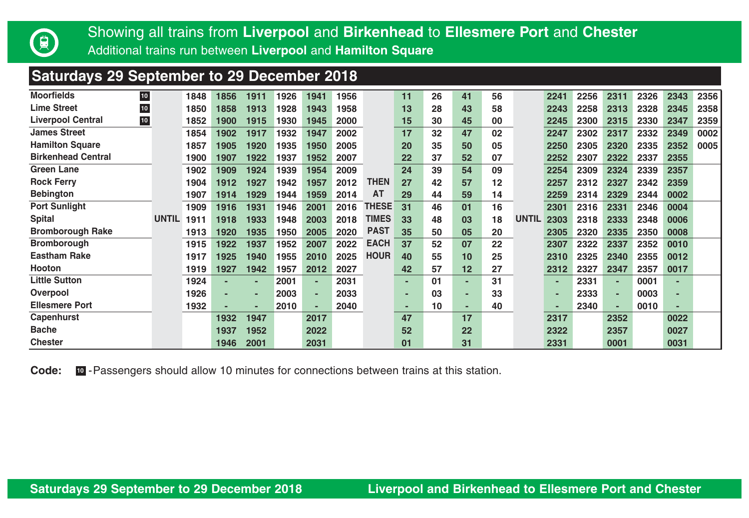

# Showing all trains from **Liverpool** and **Birkenhead** to **Ellesmere Port** and **Chester**<br>Additional trains run between **Liverpool and Hamilton Square**

Additional trains run between **Liverpool** and **Hamilton Square**

## **Saturdays 29 September to 29 December 2018**

| <b>Moorfields</b>         | $10$       |              | 1848 | 1856 | 1911 | 1926 | 1941 | 1956 |             | 11 | 26 | 41 | 56 |              | 2241 | 2256 | 2311 | 2326 | 2343 | 2356 |
|---------------------------|------------|--------------|------|------|------|------|------|------|-------------|----|----|----|----|--------------|------|------|------|------|------|------|
| <b>Lime Street</b>        | ${\bf 10}$ |              | 1850 | 1858 | 1913 | 1928 | 1943 | 1958 |             | 13 | 28 | 43 | 58 |              | 2243 | 2258 | 2313 | 2328 | 2345 | 2358 |
| <b>Liverpool Central</b>  | 10         |              | 1852 | 1900 | 1915 | 1930 | 1945 | 2000 |             | 15 | 30 | 45 | 00 |              | 2245 | 2300 | 2315 | 2330 | 2347 | 2359 |
| <b>James Street</b>       |            |              | 1854 | 1902 | 1917 | 1932 | 1947 | 2002 |             | 17 | 32 | 47 | 02 |              | 2247 | 2302 | 2317 | 2332 | 2349 | 0002 |
| <b>Hamilton Square</b>    |            |              | 1857 | 1905 | 1920 | 1935 | 1950 | 2005 |             | 20 | 35 | 50 | 05 |              | 2250 | 2305 | 2320 | 2335 | 2352 | 0005 |
| <b>Birkenhead Central</b> |            |              | 1900 | 1907 | 1922 | 1937 | 1952 | 2007 |             | 22 | 37 | 52 | 07 |              | 2252 | 2307 | 2322 | 2337 | 2355 |      |
| <b>Green Lane</b>         |            |              | 1902 | 1909 | 1924 | 1939 | 1954 | 2009 |             | 24 | 39 | 54 | 09 |              | 2254 | 2309 | 2324 | 2339 | 2357 |      |
| <b>Rock Ferry</b>         |            |              | 1904 | 1912 | 1927 | 1942 | 1957 | 2012 | THEN        | 27 | 42 | 57 | 12 |              | 2257 | 2312 | 2327 | 2342 | 2359 |      |
| <b>Bebington</b>          |            |              | 1907 | 1914 | 1929 | 1944 | 1959 | 2014 | <b>AT</b>   | 29 | 44 | 59 | 14 |              | 2259 | 2314 | 2329 | 2344 | 0002 |      |
| <b>Port Sunlight</b>      |            |              | 1909 | 1916 | 1931 | 1946 | 2001 | 2016 | THESE       | 31 | 46 | 01 | 16 |              | 2301 | 2316 | 2331 | 2346 | 0004 |      |
| <b>Spital</b>             |            | <b>UNTIL</b> | 1911 | 1918 | 1933 | 1948 | 2003 | 2018 | TIMES       | 33 | 48 | 03 | 18 | <b>UNTIL</b> | 2303 | 2318 | 2333 | 2348 | 0006 |      |
| <b>Bromborough Rake</b>   |            |              | 1913 | 1920 | 1935 | 1950 | 2005 | 2020 | <b>PAST</b> | 35 | 50 | 05 | 20 |              | 2305 | 2320 | 2335 | 2350 | 0008 |      |
| <b>Bromborough</b>        |            |              | 1915 | 1922 | 1937 | 1952 | 2007 | 2022 | <b>EACH</b> | 37 | 52 | 07 | 22 |              | 2307 | 2322 | 2337 | 2352 | 0010 |      |
| <b>Eastham Rake</b>       |            |              | 1917 | 1925 | 1940 | 1955 | 2010 | 2025 | <b>HOUR</b> | 40 | 55 | 10 | 25 |              | 2310 | 2325 | 2340 | 2355 | 0012 |      |
| <b>Hooton</b>             |            |              | 1919 | 1927 | 1942 | 1957 | 2012 | 2027 |             | 42 | 57 | 12 | 27 |              | 2312 | 2327 | 2347 | 2357 | 0017 |      |
| <b>Little Sutton</b>      |            |              | 1924 | ۰    | ۰    | 2001 |      | 2031 |             |    | 01 |    | 31 |              |      | 2331 | ٠    | 0001 |      |      |
| Overpool                  |            |              | 1926 |      |      | 2003 |      | 2033 |             | ۰  | 03 |    | 33 |              |      | 2333 | ٠    | 0003 |      |      |
| <b>Ellesmere Port</b>     |            |              | 1932 | ۰    |      | 2010 |      | 2040 |             | ۰  | 10 | -  | 40 |              |      | 2340 | ۰.   | 0010 |      |      |
| Capenhurst                |            |              |      | 1932 | 1947 |      | 2017 |      |             | 47 |    | 17 |    |              | 2317 |      | 2352 |      | 0022 |      |
| <b>Bache</b>              |            |              |      | 1937 | 1952 |      | 2022 |      |             | 52 |    | 22 |    |              | 2322 |      | 2357 |      | 0027 |      |
| <b>Chester</b>            |            |              |      | 1946 | 2001 |      | 2031 |      |             | 01 |    | 31 |    |              | 2331 |      | 0001 |      | 0031 |      |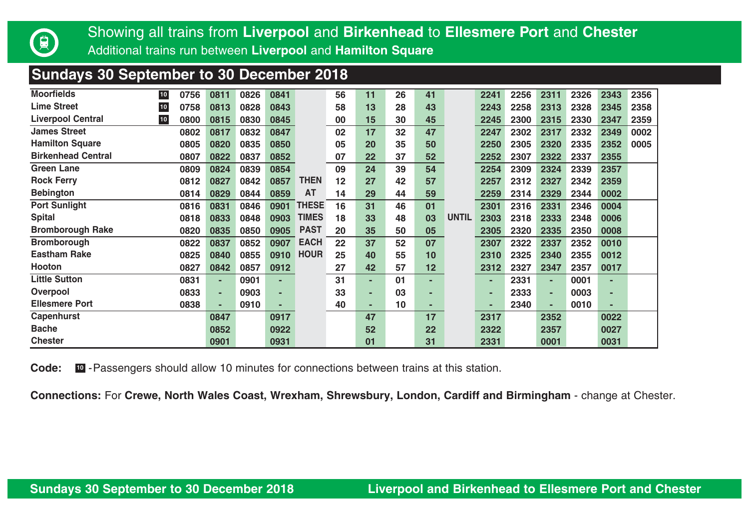

### **Sundays 30 September to 30 December 2018**

| <b>Moorfields</b>         | $10$ | 0756 | 0811 | 0826 | 0841 |              | 56 | 11 | 26 | 41 |              | 2241 | 2256 | 2311 | 2326 | 2343 | 2356 |
|---------------------------|------|------|------|------|------|--------------|----|----|----|----|--------------|------|------|------|------|------|------|
| <b>Lime Street</b>        | $10$ | 0758 | 0813 | 0828 | 0843 |              | 58 | 13 | 28 | 43 |              | 2243 | 2258 | 2313 | 2328 | 2345 | 2358 |
| <b>Liverpool Central</b>  | 10   | 0800 | 0815 | 0830 | 0845 |              | 00 | 15 | 30 | 45 |              | 2245 | 2300 | 2315 | 2330 | 2347 | 2359 |
| <b>James Street</b>       |      | 0802 | 0817 | 0832 | 0847 |              | 02 | 17 | 32 | 47 |              | 2247 | 2302 | 2317 | 2332 | 2349 | 0002 |
| <b>Hamilton Square</b>    |      | 0805 | 0820 | 0835 | 0850 |              | 05 | 20 | 35 | 50 |              | 2250 | 2305 | 2320 | 2335 | 2352 | 0005 |
| <b>Birkenhead Central</b> |      | 0807 | 0822 | 0837 | 0852 |              | 07 | 22 | 37 | 52 |              | 2252 | 2307 | 2322 | 2337 | 2355 |      |
| <b>Green Lane</b>         |      | 0809 | 0824 | 0839 | 0854 |              | 09 | 24 | 39 | 54 |              | 2254 | 2309 | 2324 | 2339 | 2357 |      |
| <b>Rock Ferry</b>         |      | 0812 | 0827 | 0842 | 0857 | <b>THEN</b>  | 12 | 27 | 42 | 57 |              | 2257 | 2312 | 2327 | 2342 | 2359 |      |
| <b>Bebington</b>          |      | 0814 | 0829 | 0844 | 0859 | AT           | 14 | 29 | 44 | 59 |              | 2259 | 2314 | 2329 | 2344 | 0002 |      |
| <b>Port Sunlight</b>      |      | 0816 | 0831 | 0846 | 0901 | <b>THESE</b> | 16 | 31 | 46 | 01 |              | 2301 | 2316 | 2331 | 2346 | 0004 |      |
| <b>Spital</b>             |      | 0818 | 0833 | 0848 | 0903 | <b>TIMES</b> | 18 | 33 | 48 | 03 | <b>UNTIL</b> | 2303 | 2318 | 2333 | 2348 | 0006 |      |
| <b>Bromborough Rake</b>   |      | 0820 | 0835 | 0850 | 0905 | <b>PAST</b>  | 20 | 35 | 50 | 05 |              | 2305 | 2320 | 2335 | 2350 | 0008 |      |
| <b>Bromborough</b>        |      | 0822 | 0837 | 0852 | 0907 | <b>EACH</b>  | 22 | 37 | 52 | 07 |              | 2307 | 2322 | 2337 | 2352 | 0010 |      |
| <b>Eastham Rake</b>       |      | 0825 | 0840 | 0855 | 0910 | <b>HOUR</b>  | 25 | 40 | 55 | 10 |              | 2310 | 2325 | 2340 | 2355 | 0012 |      |
| Hooton                    |      | 0827 | 0842 | 0857 | 0912 |              | 27 | 42 | 57 | 12 |              | 2312 | 2327 | 2347 | 2357 | 0017 |      |
| <b>Little Sutton</b>      |      | 0831 |      | 0901 |      |              | 31 | ٠  | 01 | ۰  |              |      | 2331 | ۰.   | 0001 |      |      |
| Overpool                  |      | 0833 |      | 0903 |      |              | 33 | ۰  | 03 |    |              |      | 2333 | ۰    | 0003 |      |      |
| <b>Ellesmere Port</b>     |      | 0838 |      | 0910 |      |              | 40 | ۰  | 10 | ۰  |              |      | 2340 |      | 0010 |      |      |
| Capenhurst                |      |      | 0847 |      | 0917 |              |    | 47 |    | 17 |              | 2317 |      | 2352 |      | 0022 |      |
| <b>Bache</b>              |      |      | 0852 |      | 0922 |              |    | 52 |    | 22 |              | 2322 |      | 2357 |      | 0027 |      |
| <b>Chester</b>            |      |      | 0901 |      | 0931 |              |    | 01 |    | 31 |              | 2331 |      | 0001 |      | 0031 |      |

**Code:**  $\Box$  - Passengers should allow 10 minutes for connections between trains at this station.

**Connections:** For **Crewe, North Wales Coast, Wrexham, Shrewsbury, London, Cardiff and Birmingham** - change at Chester.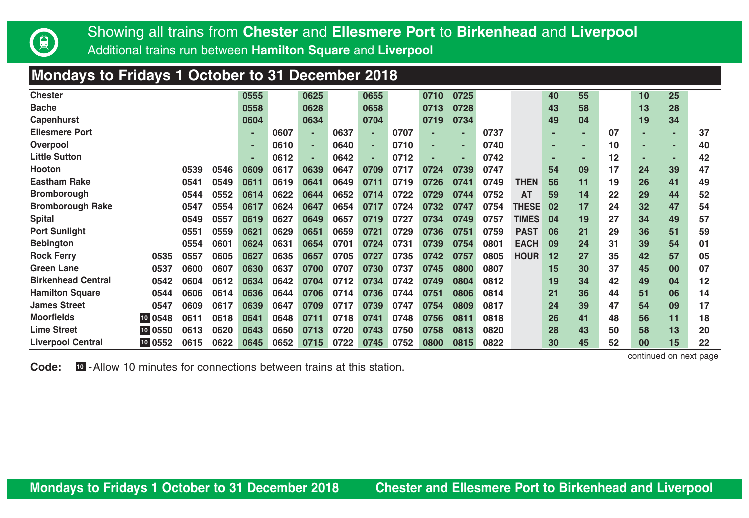

## **Mondays to Fridays 1 October to 31 December 2018**

| <b>Chester</b>            |         |      |      | 0555 |      | 0625 |      | 0655 |      | 0710 | 0725 |      |              | 40 | 55 |    | 10             | 25 |    |
|---------------------------|---------|------|------|------|------|------|------|------|------|------|------|------|--------------|----|----|----|----------------|----|----|
| <b>Bache</b>              |         |      |      | 0558 |      | 0628 |      | 0658 |      | 0713 | 0728 |      |              | 43 | 58 |    | 13             | 28 |    |
| Capenhurst                |         |      |      | 0604 |      | 0634 |      | 0704 |      | 0719 | 0734 |      |              | 49 | 04 |    | 19             | 34 |    |
| <b>Ellesmere Port</b>     |         |      |      | ٠    | 0607 |      | 0637 | ۰.   | 0707 |      | ۰    | 0737 |              | ٠  | ۰  | 07 | ٠              | ٠  | 37 |
| Overpool                  |         |      |      |      | 0610 |      | 0640 | ۰    | 0710 |      |      | 0740 |              |    | ۰  | 10 | ۰              | н  | 40 |
| <b>Little Sutton</b>      |         |      |      | ٠    | 0612 |      | 0642 | ٠    | 0712 |      | ۰    | 0742 |              |    |    | 12 | ٠              | н  | 42 |
| Hooton                    |         | 0539 | 0546 | 0609 | 0617 | 0639 | 0647 | 0709 | 0717 | 0724 | 0739 | 0747 |              | 54 | 09 | 17 | 24             | 39 | 47 |
| <b>Eastham Rake</b>       |         | 0541 | 0549 | 0611 | 0619 | 0641 | 0649 | 0711 | 0719 | 0726 | 0741 | 0749 | <b>THEN</b>  | 56 | 11 | 19 | 26             | 41 | 49 |
| <b>Bromborough</b>        |         | 0544 | 0552 | 0614 | 0622 | 0644 | 0652 | 0714 | 0722 | 0729 | 0744 | 0752 | AT           | 59 | 14 | 22 | 29             | 44 | 52 |
| <b>Bromborough Rake</b>   |         | 0547 | 0554 | 0617 | 0624 | 0647 | 0654 | 0717 | 0724 | 0732 | 0747 | 0754 | <b>THESE</b> | 02 | 17 | 24 | 32             | 47 | 54 |
| <b>Spital</b>             |         | 0549 | 0557 | 0619 | 0627 | 0649 | 0657 | 0719 | 0727 | 0734 | 0749 | 0757 | <b>TIMES</b> | 04 | 19 | 27 | 34             | 49 | 57 |
| <b>Port Sunlight</b>      |         | 0551 | 0559 | 0621 | 0629 | 0651 | 0659 | 0721 | 0729 | 0736 | 0751 | 0759 | <b>PAST</b>  | 06 | 21 | 29 | 36             | 51 | 59 |
| <b>Bebington</b>          |         | 0554 | 0601 | 0624 | 0631 | 0654 | 0701 | 0724 | 0731 | 0739 | 0754 | 0801 | <b>EACH</b>  | 09 | 24 | 31 | 39             | 54 | 01 |
| <b>Rock Ferry</b>         | 0535    | 0557 | 0605 | 0627 | 0635 | 0657 | 0705 | 0727 | 0735 | 0742 | 0757 | 0805 | <b>HOUR</b>  | 12 | 27 | 35 | 42             | 57 | 05 |
| Green Lane                | 0537    | 0600 | 0607 | 0630 | 0637 | 0700 | 0707 | 0730 | 0737 | 0745 | 0800 | 0807 |              | 15 | 30 | 37 | 45             | 00 | 07 |
| <b>Birkenhead Central</b> | 0542    | 0604 | 0612 | 0634 | 0642 | 0704 | 0712 | 0734 | 0742 | 0749 | 0804 | 0812 |              | 19 | 34 | 42 | 49             | 04 | 12 |
| <b>Hamilton Square</b>    | 0544    | 0606 | 0614 | 0636 | 0644 | 0706 | 0714 | 0736 | 0744 | 0751 | 0806 | 0814 |              | 21 | 36 | 44 | 51             | 06 | 14 |
| <b>James Street</b>       | 0547    | 0609 | 0617 | 0639 | 0647 | 0709 | 0717 | 0739 | 0747 | 0754 | 0809 | 0817 |              | 24 | 39 | 47 | 54             | 09 | 17 |
| <b>Moorfields</b>         | 10 0548 | 0611 | 0618 | 0641 | 0648 | 0711 | 0718 | 0741 | 0748 | 0756 | 0811 | 0818 |              | 26 | 41 | 48 | 56             | 11 | 18 |
| <b>Lime Street</b>        | 10 0550 | 0613 | 0620 | 0643 | 0650 | 0713 | 0720 | 0743 | 0750 | 0758 | 0813 | 0820 |              | 28 | 43 | 50 | 58             | 13 | 20 |
| <b>Liverpool Central</b>  | 10 0552 | 0615 | 0622 | 0645 | 0652 | 0715 | 0722 | 0745 | 0752 | 0800 | 0815 | 0822 |              | 30 | 45 | 52 | 0 <sup>0</sup> | 15 | 22 |

continued on next page

**Code:** -Allow 10 minutes for connections between trains at this station. **<sup>10</sup>**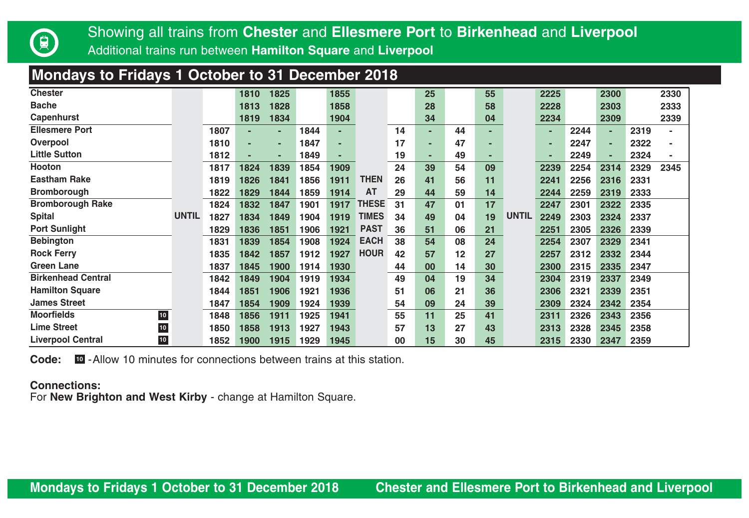

## **Mondays to Fridays 1 October to 31 December 2018**

| <b>Chester</b>                     |              |      | 1810 | 1825 |      | 1855 |              |    | 25 |    | 55 |              | 2225 |      | 2300 |      | 2330 |
|------------------------------------|--------------|------|------|------|------|------|--------------|----|----|----|----|--------------|------|------|------|------|------|
| <b>Bache</b>                       |              |      | 1813 | 1828 |      | 1858 |              |    | 28 |    | 58 |              | 2228 |      | 2303 |      | 2333 |
| Capenhurst                         |              |      | 1819 | 1834 |      | 1904 |              |    | 34 |    | 04 |              | 2234 |      | 2309 |      | 2339 |
| <b>Ellesmere Port</b>              |              | 1807 |      | ۰    | 1844 | ٠    |              | 14 | ۰  | 44 | ۰  |              | ۰    | 2244 |      | 2319 | ٠    |
| Overpool                           |              | 1810 |      |      | 1847 | ٠    |              | 17 | ٠  | 47 |    |              |      | 2247 |      | 2322 | ٠    |
| <b>Little Sutton</b>               |              | 1812 |      |      | 1849 |      |              | 19 |    | 49 |    |              |      | 2249 |      | 2324 |      |
| <b>Hooton</b>                      |              | 1817 | 1824 | 1839 | 1854 | 1909 |              | 24 | 39 | 54 | 09 |              | 2239 | 2254 | 2314 | 2329 | 2345 |
| <b>Eastham Rake</b>                |              | 1819 | 1826 | 1841 | 1856 | 1911 | THEN         | 26 | 41 | 56 | 11 |              | 2241 | 2256 | 2316 | 2331 |      |
| <b>Bromborough</b>                 |              | 1822 | 1829 | 1844 | 1859 | 1914 | AT           | 29 | 44 | 59 | 14 |              | 2244 | 2259 | 2319 | 2333 |      |
| <b>Bromborough Rake</b>            |              | 1824 | 1832 | 1847 | 1901 | 1917 | <b>THESE</b> | 31 | 47 | 01 | 17 |              | 2247 | 2301 | 2322 | 2335 |      |
| <b>Spital</b>                      | <b>UNTIL</b> | 1827 | 1834 | 1849 | 1904 | 1919 | <b>TIMES</b> | 34 | 49 | 04 | 19 | <b>UNTIL</b> | 2249 | 2303 | 2324 | 2337 |      |
| <b>Port Sunlight</b>               |              | 1829 | 1836 | 1851 | 1906 | 1921 | <b>PAST</b>  | 36 | 51 | 06 | 21 |              | 2251 | 2305 | 2326 | 2339 |      |
| <b>Bebington</b>                   |              | 1831 | 1839 | 1854 | 1908 | 1924 | <b>EACH</b>  | 38 | 54 | 08 | 24 |              | 2254 | 2307 | 2329 | 2341 |      |
| <b>Rock Ferry</b>                  |              | 1835 | 1842 | 1857 | 1912 | 1927 | <b>HOUR</b>  | 42 | 57 | 12 | 27 |              | 2257 | 2312 | 2332 | 2344 |      |
| Green Lane                         |              | 1837 | 1845 | 1900 | 1914 | 1930 |              | 44 | 00 | 14 | 30 |              | 2300 | 2315 | 2335 | 2347 |      |
| <b>Birkenhead Central</b>          |              | 1842 | 1849 | 1904 | 1919 | 1934 |              | 49 | 04 | 19 | 34 |              | 2304 | 2319 | 2337 | 2349 |      |
| <b>Hamilton Square</b>             |              | 1844 | 1851 | 1906 | 1921 | 1936 |              | 51 | 06 | 21 | 36 |              | 2306 | 2321 | 2339 | 2351 |      |
| <b>James Street</b>                |              | 1847 | 1854 | 1909 | 1924 | 1939 |              | 54 | 09 | 24 | 39 |              | 2309 | 2324 | 2342 | 2354 |      |
| <b>Moorfields</b><br>${\bf 10}$    |              | 1848 | 1856 | 1911 | 1925 | 1941 |              | 55 | 11 | 25 | 41 |              | 2311 | 2326 | 2343 | 2356 |      |
| <b>Lime Street</b><br>${\bf 10}$   |              | 1850 | 1858 | 1913 | 1927 | 1943 |              | 57 | 13 | 27 | 43 |              | 2313 | 2328 | 2345 | 2358 |      |
| <b>Liverpool Central</b><br>$10\,$ |              | 1852 | 1900 | 1915 | 1929 | 1945 |              | 00 | 15 | 30 | 45 |              | 2315 | 2330 | 2347 | 2359 |      |

**Code:** -Allow 10 minutes for connections between trains at this station. **10**

#### **Connections:**

For **New Brighton and West Kirby** - change at Hamilton Square.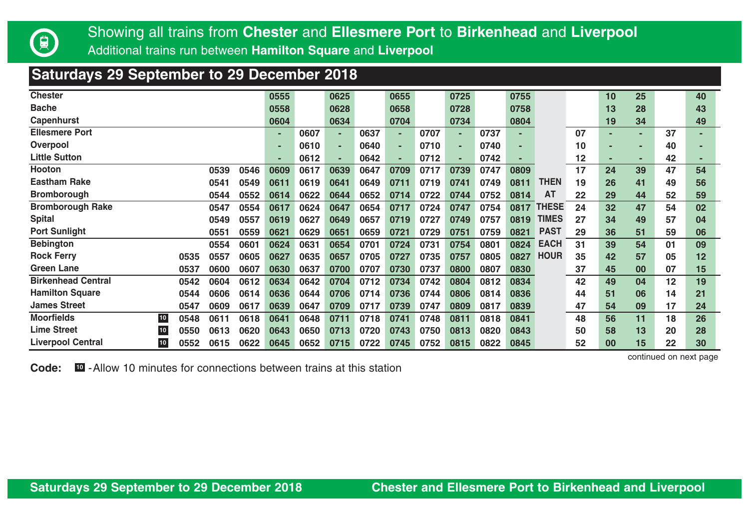

## **Saturdays 29 September to 29 December 2018**

| <b>Chester</b>                   |              |      | 0555 |      | 0625 |      | 0655 |      | 0725 |      | 0755 |              |    | 10 | 25 |    | 40 |
|----------------------------------|--------------|------|------|------|------|------|------|------|------|------|------|--------------|----|----|----|----|----|
| <b>Bache</b>                     |              |      | 0558 |      | 0628 |      | 0658 |      | 0728 |      | 0758 |              |    | 13 | 28 |    | 43 |
| Capenhurst                       |              |      | 0604 |      | 0634 |      | 0704 |      | 0734 |      | 0804 |              |    | 19 | 34 |    | 49 |
| <b>Ellesmere Port</b>            |              |      |      | 0607 |      | 0637 | ٠    | 0707 |      | 0737 |      |              | 07 |    | ۰  | 37 |    |
| Overpool                         |              |      |      | 0610 |      | 0640 | ×.   | 0710 |      | 0740 | ۰    |              | 10 |    |    | 40 |    |
| <b>Little Sutton</b>             |              |      | ۰    | 0612 |      | 0642 | ٠    | 0712 |      | 0742 |      |              | 12 |    |    | 42 |    |
| Hooton                           | 0539         | 0546 | 0609 | 0617 | 0639 | 0647 | 0709 | 0717 | 0739 | 0747 | 0809 |              | 17 | 24 | 39 | 47 | 54 |
| <b>Eastham Rake</b>              | 0541         | 0549 | 0611 | 0619 | 0641 | 0649 | 0711 | 0719 | 0741 | 0749 | 0811 | <b>THEN</b>  | 19 | 26 | 41 | 49 | 56 |
| <b>Bromborough</b>               | 0544         | 0552 | 0614 | 0622 | 0644 | 0652 | 0714 | 0722 | 0744 | 0752 | 0814 | AT           | 22 | 29 | 44 | 52 | 59 |
| <b>Bromborough Rake</b>          | 0547         | 0554 | 0617 | 0624 | 0647 | 0654 | 0717 | 0724 | 0747 | 0754 | 0817 | <b>THESE</b> | 24 | 32 | 47 | 54 | 02 |
| <b>Spital</b>                    | 0549         | 0557 | 0619 | 0627 | 0649 | 0657 | 0719 | 0727 | 0749 | 0757 | 0819 | <b>TIMES</b> | 27 | 34 | 49 | 57 | 04 |
| <b>Port Sunlight</b>             | 0551         | 0559 | 0621 | 0629 | 0651 | 0659 | 0721 | 0729 | 0751 | 0759 | 0821 | <b>PAST</b>  | 29 | 36 | 51 | 59 | 06 |
| <b>Bebington</b>                 | 0554         | 0601 | 0624 | 0631 | 0654 | 0701 | 0724 | 0731 | 0754 | 0801 | 0824 | <b>EACH</b>  | 31 | 39 | 54 | 01 | 09 |
| <b>Rock Ferry</b>                | 0535<br>0557 | 0605 | 0627 | 0635 | 0657 | 0705 | 0727 | 0735 | 0757 | 0805 | 0827 | <b>HOUR</b>  | 35 | 42 | 57 | 05 | 12 |
| Green Lane                       | 0600<br>0537 | 0607 | 0630 | 0637 | 0700 | 0707 | 0730 | 0737 | 0800 | 0807 | 0830 |              | 37 | 45 | 00 | 07 | 15 |
| <b>Birkenhead Central</b>        | 0604<br>0542 | 0612 | 0634 | 0642 | 0704 | 0712 | 0734 | 0742 | 0804 | 0812 | 0834 |              | 42 | 49 | 04 | 12 | 19 |
| <b>Hamilton Square</b>           | 0606<br>0544 | 0614 | 0636 | 0644 | 0706 | 0714 | 0736 | 0744 | 0806 | 0814 | 0836 |              | 44 | 51 | 06 | 14 | 21 |
| <b>James Street</b>              | 0609<br>0547 | 0617 | 0639 | 0647 | 0709 | 0717 | 0739 | 0747 | 0809 | 0817 | 0839 |              | 47 | 54 | 09 | 17 | 24 |
| <b>Moorfields</b><br>$10$        | 0611<br>0548 | 0618 | 0641 | 0648 | 0711 | 0718 | 0741 | 0748 | 0811 | 0818 | 0841 |              | 48 | 56 | 11 | 18 | 26 |
| <b>Lime Street</b><br>$10$       | 0613<br>0550 | 0620 | 0643 | 0650 | 0713 | 0720 | 0743 | 0750 | 0813 | 0820 | 0843 |              | 50 | 58 | 13 | 20 | 28 |
| <b>Liverpool Central</b><br>$10$ | 0615<br>0552 | 0622 | 0645 | 0652 | 0715 | 0722 | 0745 | 0752 | 0815 | 0822 | 0845 |              | 52 | 00 | 15 | 22 | 30 |

**Code: 10** -Allow 10 minutes for connections between trains at this station

continued on next page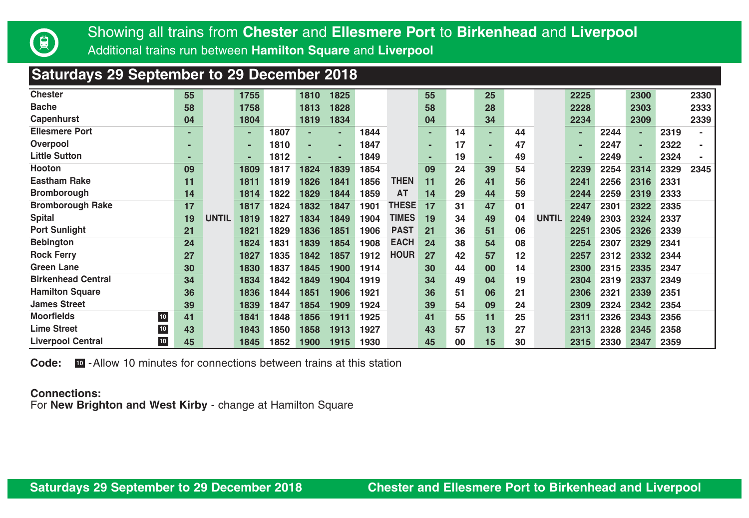

## **Saturdays 29 September to 29 December 2018**

| <b>Chester</b>                     | 55 |              | 1755 |      | 1810 | 1825 |      |              | 55 |    | 25      |    |              | 2225 |      | 2300 |      | 2330 |
|------------------------------------|----|--------------|------|------|------|------|------|--------------|----|----|---------|----|--------------|------|------|------|------|------|
| <b>Bache</b>                       | 58 |              | 1758 |      | 1813 | 1828 |      |              | 58 |    | 28      |    |              | 2228 |      | 2303 |      | 2333 |
| Capenhurst                         | 04 |              | 1804 |      | 1819 | 1834 |      |              | 04 |    | 34      |    |              | 2234 |      | 2309 |      | 2339 |
| <b>Ellesmere Port</b>              |    |              | ۰    | 1807 | ۰    |      | 1844 |              |    | 14 | н.      | 44 |              |      | 2244 | ٠    | 2319 |      |
| Overpool                           | ۰  |              |      | 1810 | ۰    |      | 1847 |              |    | 17 | ۰.      | 47 |              |      | 2247 | ٠    | 2322 |      |
| <b>Little Sutton</b>               |    |              | ۰    | 1812 |      |      | 1849 |              |    | 19 | ۰       | 49 |              |      | 2249 | ٠    | 2324 |      |
| <b>Hooton</b>                      | 09 |              | 1809 | 1817 | 1824 | 1839 | 1854 |              | 09 | 24 | 39      | 54 |              | 2239 | 2254 | 2314 | 2329 | 2345 |
| <b>Eastham Rake</b>                | 11 |              | 1811 | 1819 | 1826 | 1841 | 1856 | <b>THEN</b>  | 11 | 26 | 41      | 56 |              | 2241 | 2256 | 2316 | 2331 |      |
| <b>Bromborough</b>                 | 14 |              | 1814 | 1822 | 1829 | 1844 | 1859 | AT           | 14 | 29 | 44      | 59 |              | 2244 | 2259 | 2319 | 2333 |      |
| <b>Bromborough Rake</b>            | 17 |              | 1817 | 1824 | 1832 | 1847 | 1901 | <b>THESE</b> | 17 | 31 | 47      | 01 |              | 2247 | 2301 | 2322 | 2335 |      |
| <b>Spital</b>                      | 19 | <b>UNTIL</b> | 1819 | 1827 | 1834 | 1849 | 1904 | <b>TIMES</b> | 19 | 34 | 49      | 04 | <b>UNTIL</b> | 2249 | 2303 | 2324 | 2337 |      |
| <b>Port Sunlight</b>               | 21 |              | 1821 | 1829 | 1836 | 1851 | 1906 | <b>PAST</b>  | 21 | 36 | 51      | 06 |              | 2251 | 2305 | 2326 | 2339 |      |
| <b>Bebington</b>                   | 24 |              | 1824 | 1831 | 1839 | 1854 | 1908 | <b>EACH</b>  | 24 | 38 | 54      | 08 |              | 2254 | 2307 | 2329 | 2341 |      |
| <b>Rock Ferry</b>                  | 27 |              | 1827 | 1835 | 1842 | 1857 | 1912 | <b>HOUR</b>  | 27 | 42 | 57      | 12 |              | 2257 | 2312 | 2332 | 2344 |      |
| <b>Green Lane</b>                  | 30 |              | 1830 | 1837 | 1845 | 1900 | 1914 |              | 30 | 44 | $00 \,$ | 14 |              | 2300 | 2315 | 2335 | 2347 |      |
| <b>Birkenhead Central</b>          | 34 |              | 1834 | 1842 | 1849 | 1904 | 1919 |              | 34 | 49 | 04      | 19 |              | 2304 | 2319 | 2337 | 2349 |      |
| <b>Hamilton Square</b>             | 36 |              | 1836 | 1844 | 1851 | 1906 | 1921 |              | 36 | 51 | 06      | 21 |              | 2306 | 2321 | 2339 | 2351 |      |
| <b>James Street</b>                | 39 |              | 1839 | 1847 | 1854 | 1909 | 1924 |              | 39 | 54 | 09      | 24 |              | 2309 | 2324 | 2342 | 2354 |      |
| <b>Moorfields</b><br>${\bf 10}$    | 41 |              | 1841 | 1848 | 1856 | 1911 | 1925 |              | 41 | 55 | 11      | 25 |              | 2311 | 2326 | 2343 | 2356 |      |
| ${\bf 10}$<br><b>Lime Street</b>   | 43 |              | 1843 | 1850 | 1858 | 1913 | 1927 |              | 43 | 57 | 13      | 27 |              | 2313 | 2328 | 2345 | 2358 |      |
| $10\,$<br><b>Liverpool Central</b> | 45 |              | 1845 | 1852 | 1900 | 1915 | 1930 |              | 45 | 00 | 15      | 30 |              | 2315 | 2330 | 2347 | 2359 |      |

**Code: 10** -Allow 10 minutes for connections between trains at this station

#### **Connections:**

For **New Brighton and West Kirby** - change at Hamilton Square